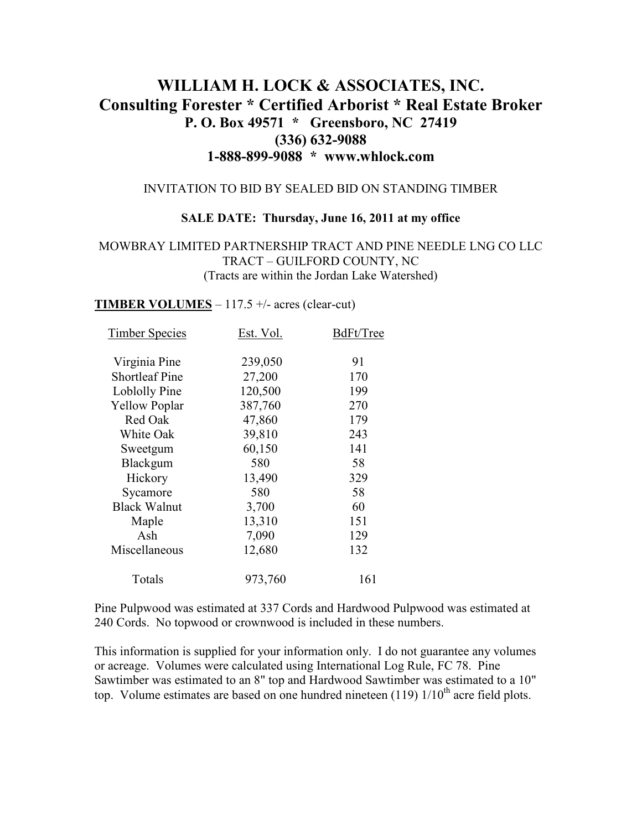# **WILLIAM H. LOCK & ASSOCIATES, INC. Consulting Forester \* Certified Arborist \* Real Estate Broker P. O. Box 49571 \* Greensboro, NC 27419 (336) 632-9088 1-888-899-9088 \* www.whlock.com**

#### INVITATION TO BID BY SEALED BID ON STANDING TIMBER

#### **SALE DATE: Thursday, June 16, 2011 at my office**

#### MOWBRAY LIMITED PARTNERSHIP TRACT AND PINE NEEDLE LNG CO LLC TRACT – GUILFORD COUNTY, NC (Tracts are within the Jordan Lake Watershed)

#### **TIMBER VOLUMES**  $-117.5 +/-$  acres (clear-cut)

| Est. Vol. | BdFt/Tree |
|-----------|-----------|
| 239,050   | 91        |
| 27,200    | 170       |
| 120,500   | 199       |
| 387,760   | 270       |
| 47,860    | 179       |
| 39,810    | 243       |
| 60,150    | 141       |
| 580       | 58        |
| 13,490    | 329       |
| 580       | 58        |
| 3,700     | 60        |
| 13,310    | 151       |
| 7,090     | 129       |
| 12,680    | 132       |
| 973,760   | 161       |
|           |           |

Pine Pulpwood was estimated at 337 Cords and Hardwood Pulpwood was estimated at 240 Cords. No topwood or crownwood is included in these numbers.

This information is supplied for your information only. I do not guarantee any volumes or acreage. Volumes were calculated using International Log Rule, FC 78. Pine Sawtimber was estimated to an 8" top and Hardwood Sawtimber was estimated to a 10" top. Volume estimates are based on one hundred nineteen  $(119)$   $1/10<sup>th</sup>$  acre field plots.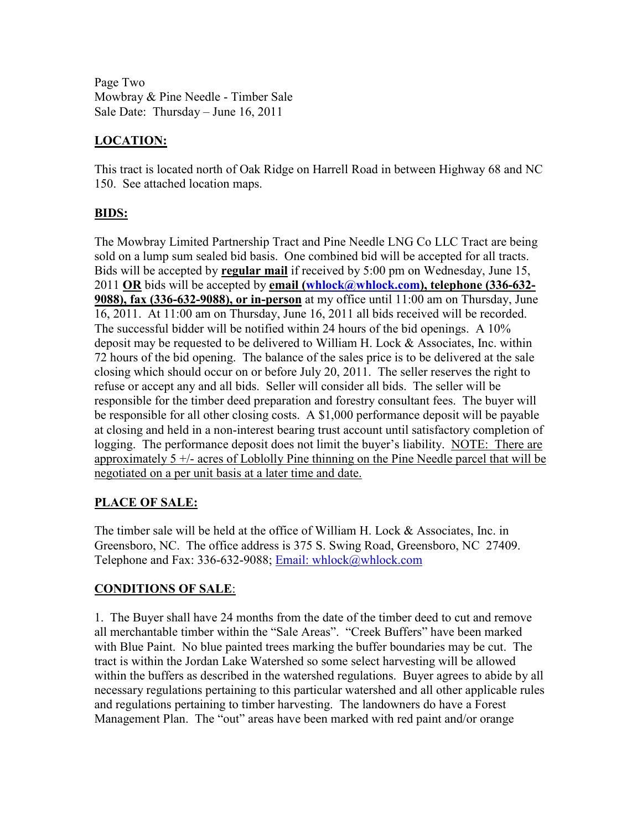Page Two Mowbray & Pine Needle - Timber Sale Sale Date: Thursday – June 16, 2011

# **LOCATION:**

This tract is located north of Oak Ridge on Harrell Road in between Highway 68 and NC 150. See attached location maps.

# **BIDS:**

The Mowbray Limited Partnership Tract and Pine Needle LNG Co LLC Tract are being sold on a lump sum sealed bid basis. One combined bid will be accepted for all tracts. Bids will be accepted by **regular mail** if received by 5:00 pm on Wednesday, June 15, 2011 **OR** bids will be accepted by **email (whlock@whlock.com), telephone (336-632- 9088), fax (336-632-9088), or in-person** at my office until 11:00 am on Thursday, June 16, 2011. At 11:00 am on Thursday, June 16, 2011 all bids received will be recorded. The successful bidder will be notified within 24 hours of the bid openings. A 10% deposit may be requested to be delivered to William H. Lock & Associates, Inc. within 72 hours of the bid opening. The balance of the sales price is to be delivered at the sale closing which should occur on or before July 20, 2011. The seller reserves the right to refuse or accept any and all bids. Seller will consider all bids. The seller will be responsible for the timber deed preparation and forestry consultant fees. The buyer will be responsible for all other closing costs. A \$1,000 performance deposit will be payable at closing and held in a non-interest bearing trust account until satisfactory completion of logging. The performance deposit does not limit the buyer's liability. NOTE: There are approximately 5 +/- acres of Loblolly Pine thinning on the Pine Needle parcel that will be negotiated on a per unit basis at a later time and date.

# **PLACE OF SALE:**

The timber sale will be held at the office of William H. Lock & Associates, Inc. in Greensboro, NC. The office address is 375 S. Swing Road, Greensboro, NC 27409. Telephone and Fax: 336-632-9088; Email: whlock@whlock.com

# **CONDITIONS OF SALE**:

1. The Buyer shall have 24 months from the date of the timber deed to cut and remove all merchantable timber within the "Sale Areas". "Creek Buffers" have been marked with Blue Paint. No blue painted trees marking the buffer boundaries may be cut. The tract is within the Jordan Lake Watershed so some select harvesting will be allowed within the buffers as described in the watershed regulations. Buyer agrees to abide by all necessary regulations pertaining to this particular watershed and all other applicable rules and regulations pertaining to timber harvesting. The landowners do have a Forest Management Plan. The "out" areas have been marked with red paint and/or orange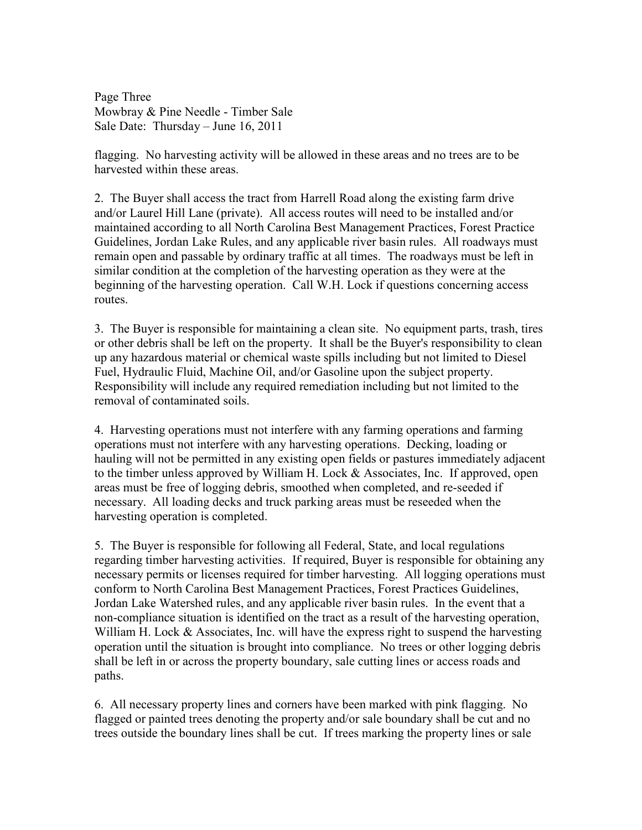Page Three Mowbray & Pine Needle - Timber Sale Sale Date: Thursday – June 16, 2011

flagging. No harvesting activity will be allowed in these areas and no trees are to be harvested within these areas.

2. The Buyer shall access the tract from Harrell Road along the existing farm drive and/or Laurel Hill Lane (private). All access routes will need to be installed and/or maintained according to all North Carolina Best Management Practices, Forest Practice Guidelines, Jordan Lake Rules, and any applicable river basin rules. All roadways must remain open and passable by ordinary traffic at all times. The roadways must be left in similar condition at the completion of the harvesting operation as they were at the beginning of the harvesting operation. Call W.H. Lock if questions concerning access routes.

3. The Buyer is responsible for maintaining a clean site. No equipment parts, trash, tires or other debris shall be left on the property. It shall be the Buyer's responsibility to clean up any hazardous material or chemical waste spills including but not limited to Diesel Fuel, Hydraulic Fluid, Machine Oil, and/or Gasoline upon the subject property. Responsibility will include any required remediation including but not limited to the removal of contaminated soils.

4. Harvesting operations must not interfere with any farming operations and farming operations must not interfere with any harvesting operations. Decking, loading or hauling will not be permitted in any existing open fields or pastures immediately adjacent to the timber unless approved by William H. Lock & Associates, Inc. If approved, open areas must be free of logging debris, smoothed when completed, and re-seeded if necessary. All loading decks and truck parking areas must be reseeded when the harvesting operation is completed.

5. The Buyer is responsible for following all Federal, State, and local regulations regarding timber harvesting activities. If required, Buyer is responsible for obtaining any necessary permits or licenses required for timber harvesting. All logging operations must conform to North Carolina Best Management Practices, Forest Practices Guidelines, Jordan Lake Watershed rules, and any applicable river basin rules. In the event that a non-compliance situation is identified on the tract as a result of the harvesting operation, William H. Lock & Associates, Inc. will have the express right to suspend the harvesting operation until the situation is brought into compliance. No trees or other logging debris shall be left in or across the property boundary, sale cutting lines or access roads and paths.

6. All necessary property lines and corners have been marked with pink flagging. No flagged or painted trees denoting the property and/or sale boundary shall be cut and no trees outside the boundary lines shall be cut. If trees marking the property lines or sale